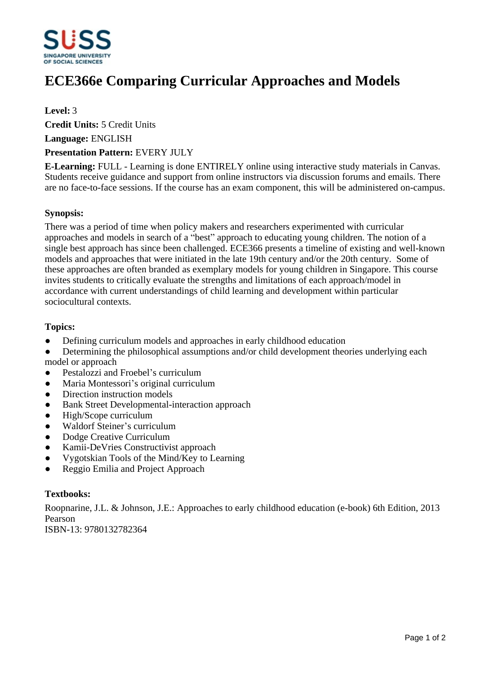

# **ECE366e Comparing Curricular Approaches and Models**

### **Level:** 3

**Credit Units:** 5 Credit Units

**Language:** ENGLISH

#### **Presentation Pattern:** EVERY JULY

**E-Learning:** FULL - Learning is done ENTIRELY online using interactive study materials in Canvas. Students receive guidance and support from online instructors via discussion forums and emails. There are no face-to-face sessions. If the course has an exam component, this will be administered on-campus.

#### **Synopsis:**

There was a period of time when policy makers and researchers experimented with curricular approaches and models in search of a "best" approach to educating young children. The notion of a single best approach has since been challenged. ECE366 presents a timeline of existing and well-known models and approaches that were initiated in the late 19th century and/or the 20th century. Some of these approaches are often branded as exemplary models for young children in Singapore. This course invites students to critically evaluate the strengths and limitations of each approach/model in accordance with current understandings of child learning and development within particular sociocultural contexts.

#### **Topics:**

- Defining curriculum models and approaches in early childhood education
- Determining the philosophical assumptions and/or child development theories underlying each model or approach
- Pestalozzi and Froebel's curriculum
- Maria Montessori's original curriculum
- Direction instruction models
- Bank Street Developmental-interaction approach
- ƔHigh/Scope curriculum
- Waldorf Steiner's curriculum
- Dodge Creative Curriculum
- Kamii-DeVries Constructivist approach
- ƔVygotskian Tools of the Mind/Key to Learning
- ƔReggio Emilia and Project Approach

#### **Textbooks:**

Roopnarine, J.L. & Johnson, J.E.: Approaches to early childhood education (e-book) 6th Edition, 2013 Pearson ISBN-13: 9780132782364